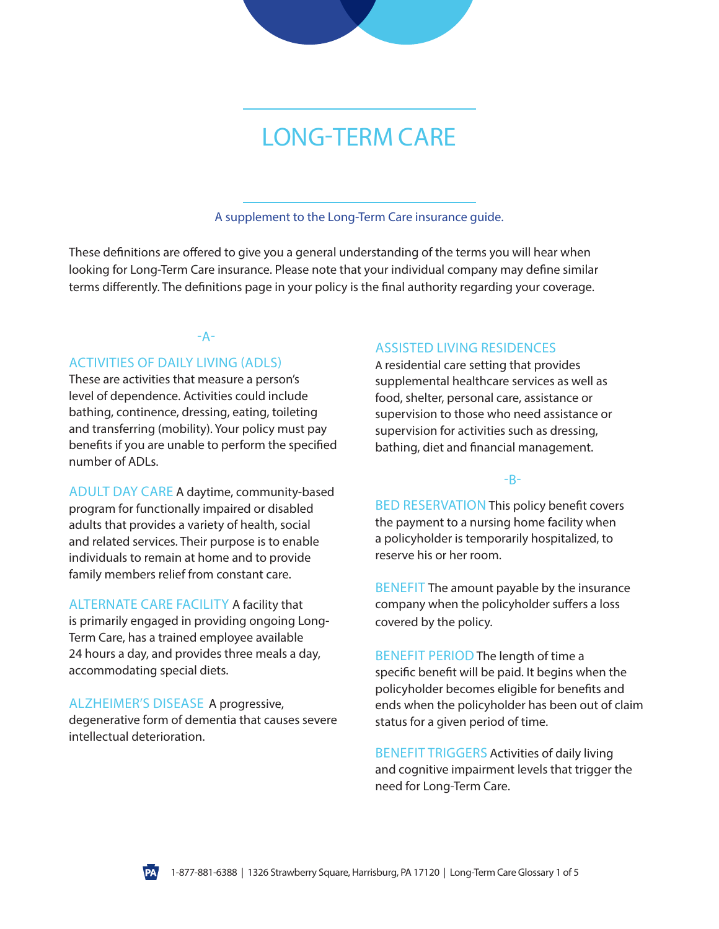# LONG-TERM CARE

A supplement to the Long-Term Care insurance guide.

These definitions are offered to give you a general understanding of the terms you will hear when looking for Long-Term Care insurance. Please note that your individual company may define similar terms differently. The definitions page in your policy is the final authority regarding your coverage.

# -A-

## ACTIVITIES OF DAILY LIVING (ADLS)

These are activities that measure a person's level of dependence. Activities could include bathing, continence, dressing, eating, toileting and transferring (mobility). Your policy must pay benefits if you are unable to perform the specified number of ADLs.

ADULT DAY CARE A daytime, community-based program for functionally impaired or disabled adults that provides a variety of health, social and related services. Their purpose is to enable individuals to remain at home and to provide family members relief from constant care.

ALTERNATE CARE FACILITY A facility that is primarily engaged in providing ongoing Long-Term Care, has a trained employee available 24 hours a day, and provides three meals a day, accommodating special diets.

ALZHEIMER'S DISEASE A progressive, degenerative form of dementia that causes severe intellectual deterioration.

## ASSISTED LIVING RESIDENCES

A residential care setting that provides supplemental healthcare services as well as food, shelter, personal care, assistance or supervision to those who need assistance or supervision for activities such as dressing, bathing, diet and financial management.

## -B-

BED RESERVATION This policy benefit covers the payment to a nursing home facility when a policyholder is temporarily hospitalized, to reserve his or her room.

BENEFIT The amount payable by the insurance company when the policyholder suffers a loss covered by the policy.

BENEFIT PERIOD The length of time a specific benefit will be paid. It begins when the policyholder becomes eligible for benefits and ends when the policyholder has been out of claim status for a given period of time.

BENEFIT TRIGGERS Activities of daily living and cognitive impairment levels that trigger the need for Long-Term Care.

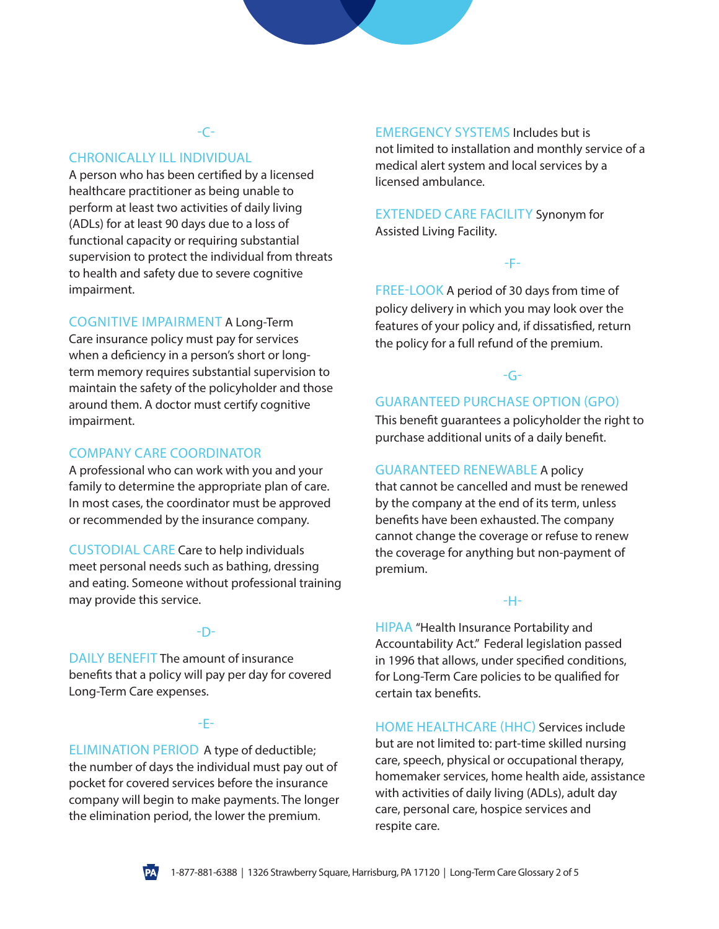# -C-

## CHRONICALLY ILL INDIVIDUAL

A person who has been certified by a licensed healthcare practitioner as being unable to perform at least two activities of daily living (ADLs) for at least 90 days due to a loss of functional capacity or requiring substantial supervision to protect the individual from threats to health and safety due to severe cognitive impairment.

#### COGNITIVE IMPAIRMENT A Long-Term

Care insurance policy must pay for services when a deficiency in a person's short or longterm memory requires substantial supervision to maintain the safety of the policyholder and those around them. A doctor must certify cognitive impairment.

## COMPANY CARE COORDINATOR

A professional who can work with you and your family to determine the appropriate plan of care. In most cases, the coordinator must be approved or recommended by the insurance company.

CUSTODIAL CARE Care to help individuals meet personal needs such as bathing, dressing and eating. Someone without professional training may provide this service.

#### -D-

DAILY BENEFIT The amount of insurance benefits that a policy will pay per day for covered Long-Term Care expenses.

## -E-

ELIMINATION PERIOD A type of deductible; the number of days the individual must pay out of pocket for covered services before the insurance company will begin to make payments. The longer the elimination period, the lower the premium.

EMERGENCY SYSTEMS Includes but is not limited to installation and monthly service of a medical alert system and local services by a licensed ambulance.

EXTENDED CARE FACILITY Synonym for Assisted Living Facility.

#### -F-

FREE-LOOK A period of 30 days from time of policy delivery in which you may look over the features of your policy and, if dissatisfied, return the policy for a full refund of the premium.

## -G-

## GUARANTEED PURCHASE OPTION (GPO)

This benefit guarantees a policyholder the right to purchase additional units of a daily benefit.

#### GUARANTEED RENEWABLE A policy

that cannot be cancelled and must be renewed by the company at the end of its term, unless benefits have been exhausted. The company cannot change the coverage or refuse to renew the coverage for anything but non-payment of premium.

#### -H-

HIPAA "Health Insurance Portability and Accountability Act." Federal legislation passed in 1996 that allows, under specified conditions, for Long-Term Care policies to be qualified for certain tax benefits.

HOME HEALTHCARE (HHC) Services include but are not limited to: part-time skilled nursing care, speech, physical or occupational therapy, homemaker services, home health aide, assistance with activities of daily living (ADLs), adult day care, personal care, hospice services and respite care.

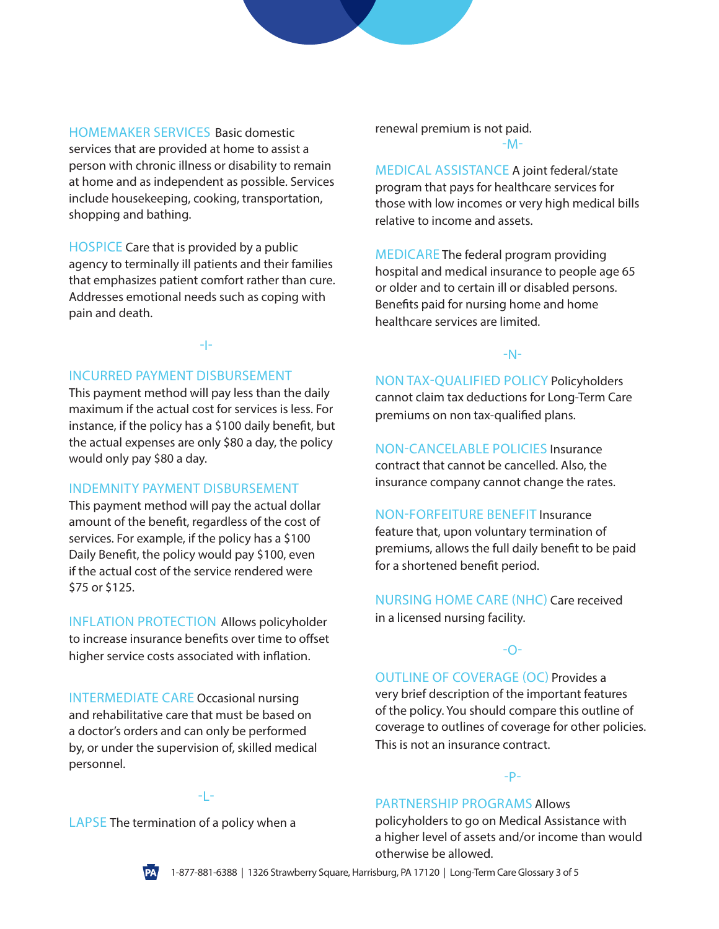HOMEMAKER SERVICES Basic domestic services that are provided at home to assist a person with chronic illness or disability to remain at home and as independent as possible. Services include housekeeping, cooking, transportation, shopping and bathing.

HOSPICE Care that is provided by a public agency to terminally ill patients and their families that emphasizes patient comfort rather than cure. Addresses emotional needs such as coping with pain and death.

#### -I-

## INCURRED PAYMENT DISBURSEMENT

This payment method will pay less than the daily maximum if the actual cost for services is less. For instance, if the policy has a \$100 daily benefit, but the actual expenses are only \$80 a day, the policy would only pay \$80 a day.

#### INDEMNITY PAYMENT DISBURSEMENT

This payment method will pay the actual dollar amount of the benefit, regardless of the cost of services. For example, if the policy has a \$100 Daily Benefit, the policy would pay \$100, even if the actual cost of the service rendered were \$75 or \$125.

INFLATION PROTECTION Allows policyholder to increase insurance benefits over time to offset higher service costs associated with inflation.

INTERMEDIATE CARE Occasional nursing and rehabilitative care that must be based on a doctor's orders and can only be performed by, or under the supervision of, skilled medical personnel.

renewal premium is not paid.

-M-

MEDICAL ASSISTANCE A joint federal/state program that pays for healthcare services for those with low incomes or very high medical bills relative to income and assets.

MEDICARE The federal program providing hospital and medical insurance to people age 65 or older and to certain ill or disabled persons. Benefits paid for nursing home and home healthcare services are limited.

#### -N-

NON TAX-QUALIFIED POLICY Policyholders cannot claim tax deductions for Long-Term Care premiums on non tax-qualified plans.

NON-CANCELABLE POLICIES Insurance contract that cannot be cancelled. Also, the insurance company cannot change the rates.

NON-FORFEITURE BENEFIT Insurance feature that, upon voluntary termination of premiums, allows the full daily benefit to be paid for a shortened benefit period.

NURSING HOME CARE (NHC) Care received in a licensed nursing facility.

#### -O-

## OUTLINE OF COVERAGE (OC) Provides a

very brief description of the important features of the policy. You should compare this outline of coverage to outlines of coverage for other policies. This is not an insurance contract.

#### -P-

## PARTNERSHIP PROGRAMS Allows

policyholders to go on Medical Assistance with a higher level of assets and/or income than would otherwise be allowed.

## -L-

LAPSE The termination of a policy when a

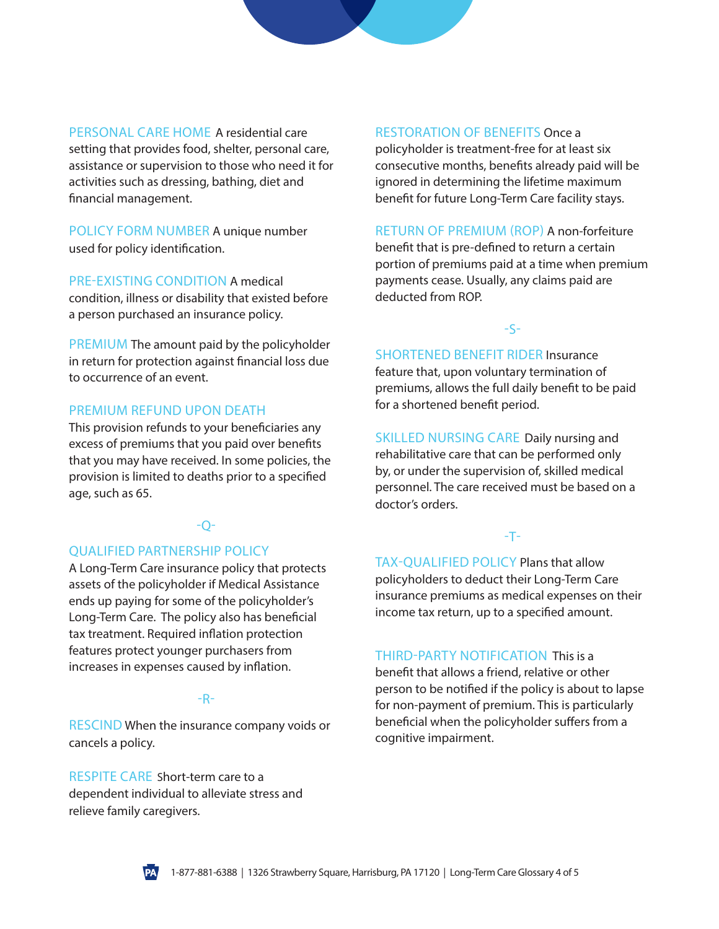PERSONAL CARE HOME A residential care setting that provides food, shelter, personal care, assistance or supervision to those who need it for activities such as dressing, bathing, diet and financial management.

POLICY FORM NUMBER A unique number used for policy identification.

PRE-EXISTING CONDITION A medical condition, illness or disability that existed before a person purchased an insurance policy.

PREMIUM The amount paid by the policyholder in return for protection against financial loss due to occurrence of an event.

#### PREMIUM REFUND UPON DEATH

This provision refunds to your beneficiaries any excess of premiums that you paid over benefits that you may have received. In some policies, the provision is limited to deaths prior to a specified age, such as 65.

# $O-$

## QUALIFIED PARTNERSHIP POLICY

A Long-Term Care insurance policy that protects assets of the policyholder if Medical Assistance ends up paying for some of the policyholder's Long-Term Care. The policy also has beneficial tax treatment. Required inflation protection features protect younger purchasers from increases in expenses caused by inflation.

#### -R-

**RESCIND** When the insurance company voids or cancels a policy.

RESPITE CARE Short-term care to a dependent individual to alleviate stress and relieve family caregivers.

#### RESTORATION OF BENEFITS Once a

policyholder is treatment-free for at least six consecutive months, benefits already paid will be ignored in determining the lifetime maximum benefit for future Long-Term Care facility stays.

RETURN OF PREMIUM (ROP) A non-forfeiture benefit that is pre-defined to return a certain portion of premiums paid at a time when premium payments cease. Usually, any claims paid are deducted from ROP.

## -S-

SHORTENED BENEFIT RIDER Insurance feature that, upon voluntary termination of premiums, allows the full daily benefit to be paid for a shortened benefit period.

SKILLED NURSING CARE Daily nursing and rehabilitative care that can be performed only by, or under the supervision of, skilled medical personnel. The care received must be based on a doctor's orders.

#### -T-

TAX-QUALIFIED POLICY Plans that allow policyholders to deduct their Long-Term Care insurance premiums as medical expenses on their income tax return, up to a specified amount.

THIRD-PARTY NOTIFICATION This is a benefit that allows a friend, relative or other person to be notified if the policy is about to lapse for non-payment of premium. This is particularly beneficial when the policyholder suffers from a cognitive impairment.